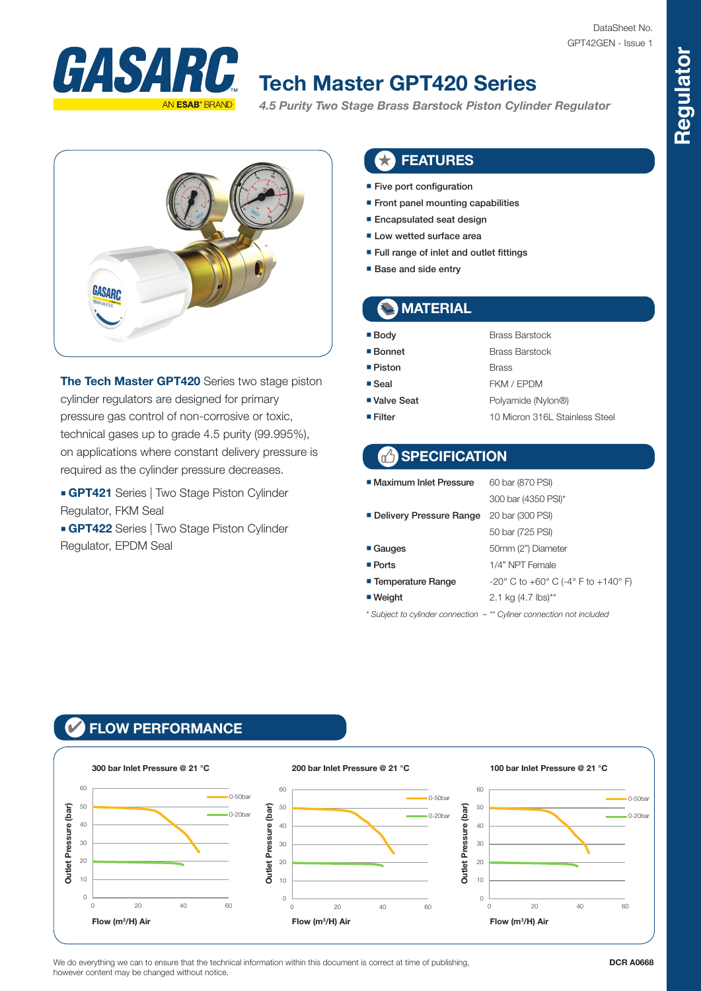

# **Tech Master GPT420 Series**

*4.5 Purity Two Stage Brass Barstock Piston Cylinder Regulator* 



**The Tech Master GPT420** Series two stage piston cylinder regulators are designed for primary pressure gas control of non-corrosive or toxic, technical gases up to grade 4.5 purity (99.995%), on applications where constant delivery pressure is required as the cylinder pressure decreases.

■ **GPT421** Series | Two Stage Piston Cylinder Regulator, FKM Seal

■ **GPT422** Series | Two Stage Piston Cylinder Regulator, EPDM Seal

#### ★ FEATURES

- Five port configuration
- Front panel mounting capabilities
- Encapsulated seat design
- Low wetted surface area
- Full range of inlet and outlet fittings
- Base and side entry

### **MATERIAL**

- Body Brass Barstock
- Bonnet Brass Barstock
- Piston Brass
- Seal FKM / FPDM
- 
- 
- Valve Seat Polyamide (Nylon®) ■ Filter 10 Micron 316L Stainless Steel

### **SPECIFICATION**

| ■ Maximum Inlet Pressure  | 60 bar (870 PSI)                                                         |  |  |  |  |  |
|---------------------------|--------------------------------------------------------------------------|--|--|--|--|--|
|                           | 300 bar (4350 PSI)*                                                      |  |  |  |  |  |
| ■ Delivery Pressure Range | 20 bar (300 PSI)                                                         |  |  |  |  |  |
|                           | 50 bar (725 PSI)                                                         |  |  |  |  |  |
| ■ Gauges                  | 50mm (2") Diameter                                                       |  |  |  |  |  |
| $\blacksquare$ Ports      | 1/4" NPT Female                                                          |  |  |  |  |  |
| ■ Temperature Range       | $-20^{\circ}$ C to $+60^{\circ}$ C ( $-4^{\circ}$ F to $+140^{\circ}$ F) |  |  |  |  |  |
| $\blacksquare$ Weight     | 2.1 kg $(4.7 \text{ lbs})^{**}$                                          |  |  |  |  |  |
|                           |                                                                          |  |  |  |  |  |

*\* Subject to cylinder connection – \*\* Cyliner connection not included*

#### ✔ FLOW PERFORMANCE



We do everything we can to ensure that the technical information within this document is correct at time of publishing. however content may be changed without notice.